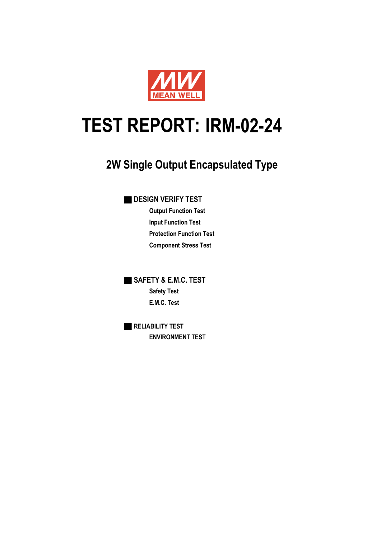

# **IRM-02-24 TEST REPORT:**

## **2W Single Output Encapsulated Type**

### **B** DESIGN VERIFY TEST

**Output Function Test Input Function Test Protection Function Test Component Stress Test**

■ **SAFETY & E.M.C. TEST Safety Test E.M.C. Test**

■ **RELIABILITY TEST ENVIRONMENT TEST**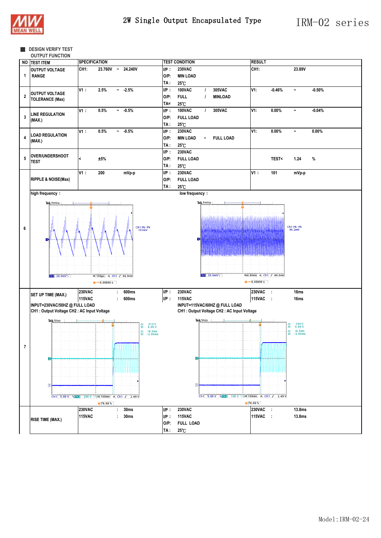

#### ■ **DESIGN VERIFY TEST**

**OUTPUT FUNCTION**

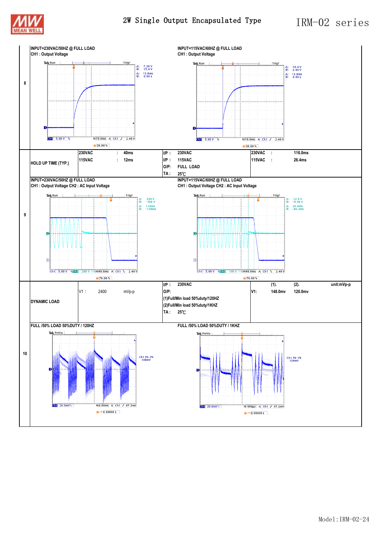

2W Single Output Encapsulated Type IRM-02 series

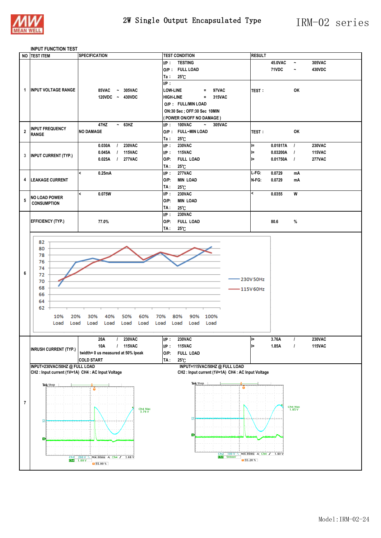

#### **INPUT FUNCTION TEST**

|                      | NO TEST ITEM                                       | <b>SPECIFICATION</b>                                                                    | <b>TEST CONDITION</b>                                                        | <b>RESULT</b>            |          |                       |               |
|----------------------|----------------------------------------------------|-----------------------------------------------------------------------------------------|------------------------------------------------------------------------------|--------------------------|----------|-----------------------|---------------|
|                      |                                                    |                                                                                         | I/P: TESTING                                                                 |                          | 45.0VAC  | $\tilde{\phantom{a}}$ | 305VAC        |
|                      |                                                    |                                                                                         | O/P: FULL LOAD                                                               |                          | 71VDC    | $\tilde{}$            | 430VDC        |
|                      |                                                    |                                                                                         | $25^\circ$ C<br>Ta∶                                                          |                          |          |                       |               |
|                      |                                                    |                                                                                         | UP:                                                                          |                          |          |                       |               |
|                      |                                                    |                                                                                         |                                                                              |                          |          |                       |               |
| 1                    | <b>INPUT VOLTAGE RANGE</b>                         | 85VAC<br>$\sim 305$ VAC                                                                 | <b>LOW-LINE</b><br>97VAC<br>$\equiv$                                         | <b>TEST:</b>             |          | OK                    |               |
|                      |                                                    | 120VDC ~ 430VDC                                                                         | <b>HIGH-LINE</b><br>315VAC<br>$\equiv$ .                                     |                          |          |                       |               |
|                      |                                                    |                                                                                         | O/P: FULL/MIN LOAD                                                           |                          |          |                       |               |
|                      |                                                    |                                                                                         | ON:30 Sec ; OFF:30 Sec 10MIN                                                 |                          |          |                       |               |
|                      |                                                    |                                                                                         | (POWER ON/OFF NO DAMAGE)                                                     |                          |          |                       |               |
|                      |                                                    | 47HZ<br>$~\sim~$ 63HZ                                                                   | <b>100VAC</b><br>$I/P$ :<br>305VAC<br>$\tilde{\phantom{a}}$                  |                          |          |                       |               |
| $\overline{2}$       | <b>INPUT FREQUENCY</b>                             | <b>NO DAMAGE</b>                                                                        | O/P: FULL~MIN LOAD                                                           | <b>TEST:</b>             |          | OK                    |               |
|                      | <b>RANGE</b>                                       |                                                                                         | $25^\circ$ C<br>Ta :                                                         |                          |          |                       |               |
|                      |                                                    | <b>230VAC</b><br>0.030A<br>$\overline{1}$                                               | UP:<br><b>230VAC</b>                                                         | l=                       | 0.01817A | $\overline{1}$        | 230VAC        |
|                      |                                                    | <b>115VAC</b><br>0.045A<br>$\prime$                                                     | <b>115VAC</b><br>IP:                                                         | l=                       | 0.03200A | $\prime$              | <b>115VAC</b> |
| 3                    | <b>INPUT CURRENT (TYP.)</b>                        |                                                                                         |                                                                              |                          |          |                       |               |
|                      |                                                    | <b>277VAC</b><br>0.025A<br>$\perp$                                                      | O/P:<br><b>FULL LOAD</b>                                                     | l=                       | 0.01750A | $\overline{1}$        | <b>277VAC</b> |
|                      |                                                    |                                                                                         | $25^{\circ}$ C<br>TA :                                                       |                          |          |                       |               |
|                      |                                                    | $\prec$<br>0.25mA                                                                       | <b>277VAC</b><br>UP:                                                         | L-FG:                    | 0.0729   | mA                    |               |
| 4                    | <b>LEAKAGE CURRENT</b>                             |                                                                                         | $O/P$ :<br><b>MIN LOAD</b>                                                   | N-FG:                    | 0.0729   | mA                    |               |
|                      |                                                    |                                                                                         | TA :<br>25°C                                                                 |                          |          |                       |               |
|                      |                                                    | $\overline{\phantom{a}}$<br>0.075W                                                      | UP:<br><b>230VAC</b>                                                         | $\overline{\phantom{a}}$ | 0.0355   | W                     |               |
| 5                    | <b>NO LOAD POWER</b>                               |                                                                                         | <b>MIN LOAD</b><br>$O/P$ :                                                   |                          |          |                       |               |
|                      | <b>CONSUMPTION</b>                                 |                                                                                         | 25°C<br>TA :                                                                 |                          |          |                       |               |
|                      |                                                    |                                                                                         | <b>230VAC</b><br>UP:                                                         |                          |          |                       |               |
|                      | <b>EFFICIENCY (TYP.)</b>                           | 77.0%                                                                                   | $O/P$ :<br><b>FULL LOAD</b>                                                  |                          | 80.6     | %                     |               |
|                      |                                                    |                                                                                         |                                                                              |                          |          |                       |               |
|                      |                                                    |                                                                                         | TA :<br>25°C                                                                 |                          |          |                       |               |
|                      |                                                    |                                                                                         |                                                                              |                          |          |                       |               |
|                      | 82                                                 |                                                                                         |                                                                              |                          |          |                       |               |
|                      | 80                                                 |                                                                                         |                                                                              |                          |          |                       |               |
|                      | 78                                                 |                                                                                         |                                                                              |                          |          |                       |               |
|                      | 76                                                 |                                                                                         |                                                                              |                          |          |                       |               |
|                      | 74                                                 |                                                                                         |                                                                              |                          |          |                       |               |
| 6                    | 72                                                 |                                                                                         |                                                                              |                          |          |                       |               |
|                      | 70                                                 |                                                                                         |                                                                              | 230V 50Hz                |          |                       |               |
|                      | 68                                                 |                                                                                         |                                                                              | – 115V 60Hz              |          |                       |               |
|                      | 66                                                 |                                                                                         |                                                                              |                          |          |                       |               |
|                      | 64                                                 |                                                                                         |                                                                              |                          |          |                       |               |
|                      | 62                                                 |                                                                                         |                                                                              |                          |          |                       |               |
|                      |                                                    |                                                                                         |                                                                              |                          |          |                       |               |
|                      | 10%<br>20%                                         | 30%<br>40%<br>50%<br>60%                                                                | 70%<br>80%<br>90%<br>100%                                                    |                          |          |                       |               |
|                      | Load<br>Load                                       | Load<br>Load<br>Load<br>Load                                                            | Load<br>Load<br>Load<br>Load                                                 |                          |          |                       |               |
|                      |                                                    |                                                                                         |                                                                              |                          |          |                       |               |
|                      |                                                    | 20A<br><b>230VAC</b><br>$\mathcal{L}$                                                   | UP:<br>230VAC                                                                |                          | 3.76A    |                       | <b>230VAC</b> |
|                      |                                                    | 10A<br>/ 115VAC                                                                         | $I/P$ :<br><b>115VAC</b>                                                     |                          | 1.85A    |                       | <b>115VAC</b> |
|                      | <b>INRUSH CURRENT (TYP.)</b>                       | twidth= 0 us measured at 50% lpeak                                                      | $O/P$ :<br><b>FULL LOAD</b>                                                  |                          |          |                       |               |
|                      |                                                    | <b>COLD START</b>                                                                       | TA:<br>25°C                                                                  |                          |          |                       |               |
|                      | INPUT=230VAC/50HZ @ FULL LOAD                      |                                                                                         | INPUT=115VAC/50HZ@FULLLOAD                                                   |                          |          |                       |               |
|                      | CH2 : Input current (1V=1A) CH4 : AC Input Voltage |                                                                                         | CH2 : Input current (1V=1A) CH4 : AC Input Voltage                           |                          |          |                       |               |
|                      |                                                    |                                                                                         |                                                                              |                          |          |                       |               |
| Tek Stop<br>Tek Stop |                                                    |                                                                                         |                                                                              |                          |          |                       |               |
|                      |                                                    |                                                                                         |                                                                              |                          |          |                       |               |
|                      |                                                    |                                                                                         |                                                                              |                          |          |                       |               |
| $\overline{7}$       |                                                    |                                                                                         |                                                                              |                          |          |                       |               |
|                      |                                                    | Ch4 Max<br>3.76 V                                                                       |                                                                              |                          |          | Ch4 Max<br>1.85 V     |               |
|                      |                                                    |                                                                                         |                                                                              |                          |          |                       |               |
|                      | 12                                                 |                                                                                         |                                                                              |                          |          |                       |               |
|                      |                                                    |                                                                                         |                                                                              |                          |          |                       |               |
|                      |                                                    |                                                                                         | $\overline{\mathbf{4}}$                                                      |                          |          |                       |               |
|                      | $\overline{4}$                                     |                                                                                         |                                                                              |                          |          |                       |               |
|                      |                                                    |                                                                                         |                                                                              |                          |          |                       |               |
|                      |                                                    |                                                                                         |                                                                              |                          |          |                       |               |
|                      |                                                    | $\frac{1}{200 \text{ V} \cdot \sqrt{\text{M}4.00 \text{ms}}}$ A Ch4 $\textit{J}$ 3.68 V | Ch2 100 V $\sqrt{M/4.00 \text{ms}}$ A Ch4 $J$ 1.80 V<br>Ch4 500 mV<br>55.20% |                          |          |                       |               |
|                      |                                                    | 55.00%                                                                                  |                                                                              |                          |          |                       |               |
|                      |                                                    |                                                                                         |                                                                              |                          |          |                       |               |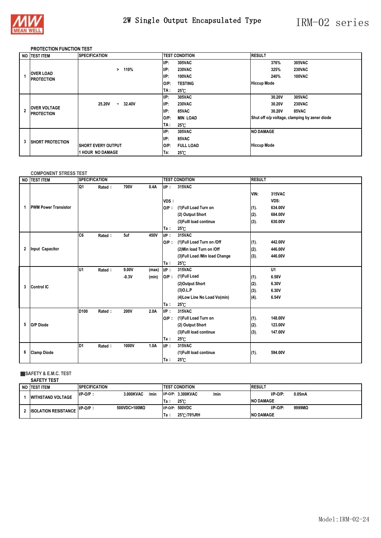

### 2W Single Output Encapsulated Type IRM-02 series

#### **PROTECTION FUNCTION TEST**

|   | NO TEST ITEM                             | <b>SPECIFICATION</b>                      | <b>TEST CONDITION</b>       | <b>RESULT</b>                                 |
|---|------------------------------------------|-------------------------------------------|-----------------------------|-----------------------------------------------|
|   |                                          |                                           | UP:<br>305VAC               | 305VAC<br>376%                                |
|   |                                          | 110%<br>>                                 | UP:<br><b>230VAC</b>        | <b>230VAC</b><br>325%                         |
|   | <b>OVER LOAD</b><br><b>PROTECTION</b>    |                                           | I/P:<br><b>100VAC</b>       | 100VAC<br>240%                                |
|   |                                          |                                           | <b>TESTING</b><br>$O/P$ :   | <b>Hiccup Mode</b>                            |
|   |                                          |                                           | 25°C<br>TA :                |                                               |
|   |                                          |                                           | UP:<br>305VAC               | 305VAC<br>30.20V                              |
|   | <b>OVER VOLTAGE</b><br><b>PROTECTION</b> | 25.20V<br>32.40V<br>$\tilde{\phantom{a}}$ | UP:<br><b>230VAC</b>        | <b>230VAC</b><br>30.20V                       |
|   |                                          |                                           | I/P:<br>85VAC               | 30.20V<br>85VAC                               |
|   |                                          |                                           | <b>MIN LOAD</b><br>$O/P$ :  | Shut off o/p voltage, clamping by zener diode |
|   |                                          |                                           | TA :<br>25 C                |                                               |
|   |                                          |                                           | $I/P$ :<br>305VAC           | <b>NO DAMAGE</b>                              |
| 3 | <b>ISHORT PROTECTION</b>                 |                                           | 85VAC<br>I/P:               |                                               |
|   |                                          | <b>ISHORT EVERY OUTPUT</b>                | $O/P$ :<br><b>FULL LOAD</b> | <b>Hiccup Mode</b>                            |
|   |                                          | <b>1 HOUR NO DAMAGE</b>                   | $25^{\circ}$ C<br>Ta:       |                                               |

#### **COMPONENT STRESS TEST**

|   | NO TEST ITEM                | <b>SPECIFICATION</b> |        |         |       | <b>TEST CONDITION</b> |                                | <b>RESULT</b> |                |  |
|---|-----------------------------|----------------------|--------|---------|-------|-----------------------|--------------------------------|---------------|----------------|--|
|   |                             | Q1                   | Rated: | 700V    | 0.4A  | UP:                   | 315VAC                         |               |                |  |
|   |                             |                      |        |         |       |                       |                                | VIN:          | 315VAC         |  |
|   |                             |                      |        |         |       | VDS:                  |                                |               | VDS:           |  |
| 1 | <b>PWM Power Transistor</b> |                      |        |         |       | $O/P$ :               | (1) Full Load Turn on          | (1).          | 634.00V        |  |
|   |                             |                      |        |         |       |                       | (2) Output Short               | (2).          | 684.00V        |  |
|   |                             |                      |        |         |       |                       | (3) Fulll load continue        | (3).          | 630.00V        |  |
|   |                             |                      |        |         |       | Ta:                   | 25 C                           |               |                |  |
|   |                             | C <sub>6</sub>       | Rated: | 5uf     | 450V  | UP:                   | 315VAC                         |               |                |  |
|   |                             |                      |        |         |       | $O/P$ :               | (1) Full Load Turn on /Off     | (1).          | 442.00V        |  |
| 2 | Input Capacitor             |                      |        |         |       |                       | (2) Min load Turn on /Off      | (2).          | 446.00V        |  |
|   |                             |                      |        |         |       |                       | (3) Full Load /Min load Change | (3).          | 446.00V        |  |
|   |                             |                      |        |         |       | Ta:                   | 25 C                           |               |                |  |
|   |                             | lu1                  | Rated: | 9.00V   | (max) | UP:                   | 315VAC                         |               | U <sub>1</sub> |  |
|   |                             |                      |        | $-0.3V$ | (min) | $O/P$ :               | (1)Full Load                   | (1).          | 6.58V          |  |
| 3 | <b>Control IC</b>           |                      |        |         |       |                       | (2)Output Short                | (2).          | 6.30V          |  |
|   |                             |                      |        |         |       |                       | $(3)$ O.L.P                    | (3).          | 6.30V          |  |
|   |                             |                      |        |         |       |                       | (4) Low Line No Load Vo(min)   | (4).          | 6.54V          |  |
|   |                             |                      |        |         |       | Ta:                   | 25 C                           |               |                |  |
|   |                             | D <sub>100</sub>     | Rated: | 200V    | 2.0A  | UP:                   | 315VAC                         |               |                |  |
|   |                             |                      |        |         |       | $O/P$ :               | (1)Full Load Turn on           | (1).          | 148.00V        |  |
| 5 | O/P Diode                   |                      |        |         |       |                       | (2) Output Short               | (2).          | 123.00V        |  |
|   |                             |                      |        |         |       |                       | (3) Fulll load continue        | (3).          | 147.00V        |  |
|   |                             |                      |        |         |       | Ta:                   | 25 C                           |               |                |  |
|   |                             | D1                   | Rated: | 1000V   | 1.0A  | UP:                   | 315VAC                         |               |                |  |
| 6 | <b>Clamp Diode</b>          |                      |        |         |       |                       | (1) Fulll load continue        | (1).          | 594.00V        |  |
|   |                             |                      |        |         |       | Ta:                   | $25^{\circ}$ C                 |               |                |  |

#### ■**SAFETY & E.M.C. TEST**

**SAFETY TEST**

| NO ITEST ITEM               | <b>SPECIFICATION</b>                        | <b>TEST CONDITION</b>      | <b>RESUL</b>             |
|-----------------------------|---------------------------------------------|----------------------------|--------------------------|
| <b>WITHSTAND VOLTAGE</b>    | 3.000KVAC<br>$\mathsf{Imin}$<br>$IIP-O/P$ : | I/P-O/P: 3.300KVAC<br>/min | $I/P-O/P$ :<br>$0.05m$ A |
|                             |                                             | 25°C<br>Ta:                | <b>INO DAMAGE</b>        |
| <b>ISOLATION RESISTANCE</b> | 500VDC>100MQ<br>$I/P-O/P$                   | 500VDC<br>$I/P-O/P$ :      | $I/P-O/P$ :<br>9999MQ    |
|                             |                                             | 25 C/70%RH<br>Ta:          | <b>INO DAMAGE</b>        |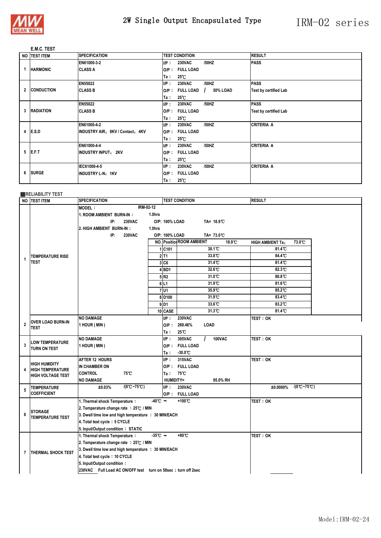

#### **E.M.C. TEST**

|   | NO TEST ITEM      | <b>SPECIFICATION</b>             |         | <b>TEST CONDITION</b> |                 | <b>RESULT</b>                |
|---|-------------------|----------------------------------|---------|-----------------------|-----------------|------------------------------|
|   |                   | EN61000-3-2                      | UP:     | <b>230VAC</b>         | /50HZ           | <b>PASS</b>                  |
| 1 | <b>HARMONIC</b>   | <b>CLASS A</b>                   | $O/P$ : | <b>FULL LOAD</b>      |                 |                              |
|   |                   |                                  | Ta:     | $25^{\circ}$ C        |                 |                              |
|   |                   | EN55022                          | UP:     | <b>230VAC</b>         | /50HZ           | <b>PASS</b>                  |
| 2 | <b>CONDUCTION</b> | <b>CLASS B</b>                   | $O/P$ : | <b>FULL LOAD</b>      | 50% LOAD<br>- 1 | <b>Test by certified Lab</b> |
|   |                   |                                  | Ta:     | 25°C                  |                 |                              |
|   |                   | EN55022                          | UP:     | <b>230VAC</b>         | /50HZ           | <b>PASS</b>                  |
| 3 | <b>RADIATION</b>  | <b>CLASS B</b>                   | $O/P$ : | <b>FULL LOAD</b>      |                 | Test by certified Lab        |
|   |                   |                                  | Ta:     | 25 C                  |                 |                              |
|   |                   | EN61000-4-2                      | UP:     | <b>230VAC</b>         | /50HZ           | <b>CRITERIA A</b>            |
| 4 | E.S.D             | INDUSTRY AIR: 8KV / Contact: 4KV | $O/P$ : | <b>FULL LOAD</b>      |                 |                              |
|   |                   |                                  | Ta:     | $25^{\circ}$ C        |                 |                              |
|   |                   | EN61000-4-4                      | UP:     | <b>230VAC</b>         | /50HZ           | <b>CRITERIA A</b>            |
| 5 | E.F.T             | <b>INDUSTRY INPUT: 2KV</b>       | $O/P$ : | <b>FULL LOAD</b>      |                 |                              |
|   |                   |                                  | Ta:     | 25 C                  |                 |                              |
|   |                   | IEC61000-4-5                     | UP:     | <b>230VAC</b>         | /50HZ           | <b>CRITERIA A</b>            |
| 6 | <b>SURGE</b>      | INDUSTRY L-N: 1KV                | $O/P$ : | <b>FULL LOAD</b>      |                 |                              |
|   |                   |                                  | Ta:     | $25^{\circ}$ C        |                 |                              |

#### ■**RELIABILITY TEST**

|                | NO TEST ITEM                            | <b>SPECIFICATION</b>                                          |                      | <b>TEST CONDITION</b> |                                            | <b>RESULT</b>                             |  |
|----------------|-----------------------------------------|---------------------------------------------------------------|----------------------|-----------------------|--------------------------------------------|-------------------------------------------|--|
|                |                                         | IRM-02-12<br><b>MODEL:</b>                                    |                      |                       |                                            |                                           |  |
|                |                                         | 1. ROOM AMBIENT BURN-IN:                                      | 1.0hrs               |                       |                                            |                                           |  |
|                |                                         | IP:<br><b>230VAC</b>                                          |                      | O/P: 100% LOAD        | TA= 18.9°C                                 |                                           |  |
|                |                                         | 2. HIGH AMBIENT BURN-IN:                                      | 1.0hrs               |                       |                                            |                                           |  |
|                |                                         | IP:<br><b>230VAC</b>                                          |                      | O/P: 100% LOAD        | TA= 73.0 °C                                |                                           |  |
|                |                                         |                                                               |                      |                       | <b>NO. Position ROOM AMBIENT</b><br>18.9 C | 73.0 °C<br><b>HIGH AMBIENT Ta:</b>        |  |
|                |                                         |                                                               |                      | 1 C101                | 30.1 C                                     | 81.4 C                                    |  |
| 1              | <b>TEMPERATURE RISE</b>                 |                                                               |                      | $2$ T <sub>1</sub>    | 33.8 °C                                    | 84.4 C                                    |  |
|                | <b>TEST</b>                             |                                                               |                      | 3CC6                  | 31.4 C                                     | 81.4 C                                    |  |
|                |                                         |                                                               |                      | $4$ BD1               | $32.6^\circ$                               | 82.3C                                     |  |
|                |                                         |                                                               |                      | 5R2                   | 31.0 C                                     | 80.8°C                                    |  |
|                |                                         |                                                               |                      | 6L1                   | 31.9 C                                     | 81.6 °C                                   |  |
|                |                                         |                                                               |                      | 7U1                   | 35.9 C                                     | 85.2°C                                    |  |
|                |                                         |                                                               |                      | 8 D <sub>100</sub>    | 31.9C                                      | 83.4 C                                    |  |
|                |                                         |                                                               |                      | $9$ D1                | 33.6 C                                     | 83.2°C                                    |  |
|                |                                         |                                                               |                      | 10 CASE               | 31.3 C                                     | 81.4 C                                    |  |
|                |                                         | <b>NO DAMAGE</b>                                              |                      | UP:                   | <b>230VAC</b>                              | TEST: OK                                  |  |
| $\overline{2}$ | <b>OVER LOAD BURN-IN</b><br><b>TEST</b> | 1 HOUR (MIN)                                                  |                      | $O/P$ :               | 269.46%<br>LOAD                            |                                           |  |
|                |                                         |                                                               |                      | Ta :                  | 25°C                                       |                                           |  |
|                |                                         | <b>NO DAMAGE</b>                                              |                      | UP:                   | 305VAC<br><b>100VAC</b>                    | <b>TEST: OK</b>                           |  |
| 3              | <b>LOW TEMPERATURE</b><br>TURN ON TEST  | 1 HOUR (MIN)                                                  |                      |                       | O/P: FULL LOAD                             |                                           |  |
|                |                                         |                                                               |                      | Ta :                  | $-30.0$ C                                  |                                           |  |
|                | <b>HIGH HUMIDITY</b>                    | <b>AFTER 12 HOURS</b>                                         |                      | UP:                   | 315VAC                                     | <b>TEST: OK</b>                           |  |
| 4              | <b>HIGH TEMPERATURE</b>                 | IN CHAMBER ON                                                 |                      |                       | O/P: FULL LOAD                             |                                           |  |
|                | <b>HIGH VOLTAGE TEST</b>                | <b>CONTROL</b><br>75℃                                         |                      | Ta:                   | 75°C                                       |                                           |  |
|                |                                         | <b>NO DAMAGE</b>                                              |                      | <b>HUMIDITY=</b>      | 95.0% RH                                   |                                           |  |
| 5              | <b>TEMPERATURE</b>                      | $/(0^{\circ}C - 75^{\circ}C)$<br>±0.03%                       |                      | UP:                   | <b>230VAC</b>                              | $/(0^{\circ}C - 75^{\circ}C)$<br>±0.0000% |  |
|                | <b>COEFFICIENT</b>                      |                                                               |                      |                       | O/P: FULL LOAD                             |                                           |  |
|                |                                         | 1. Thermal shock Temperature:                                 | $-40^{\circ}$ $\sim$ |                       | +100°C                                     | <b>TEST: OK</b>                           |  |
|                | <b>STORAGE</b>                          | 2. Temperature change rate : 25°C / MIN                       |                      |                       |                                            |                                           |  |
| 6              | <b>TEMPERATURE TEST</b>                 | 3. Dwell time low and high temperature : 30 MIN/EACH          |                      |                       |                                            |                                           |  |
|                |                                         | 4. Total test cycle: 5 CYCLE                                  |                      |                       |                                            |                                           |  |
|                |                                         | 5. Input/Output condition: STATIC                             |                      |                       |                                            |                                           |  |
|                |                                         | 1. Thermal shock Temperature:                                 | $-35^{\circ}$ C ~    |                       | +80°C                                      | TEST: OK                                  |  |
|                |                                         | 2. Temperature change rate : 25°C / MIN                       |                      |                       |                                            |                                           |  |
| $\overline{7}$ | <b>THERMAL SHOCK TEST</b>               | 3. Dwell time low and high temperature : 30 MIN/EACH          |                      |                       |                                            |                                           |  |
|                |                                         | 4. Total test cycle: 10 CYCLE                                 |                      |                       |                                            |                                           |  |
|                |                                         | 5. Input/Output condition:                                    |                      |                       |                                            |                                           |  |
|                |                                         | 230VAC Full Load AC ON/OFF test turn on 58sec : turn off 2sec |                      |                       |                                            |                                           |  |